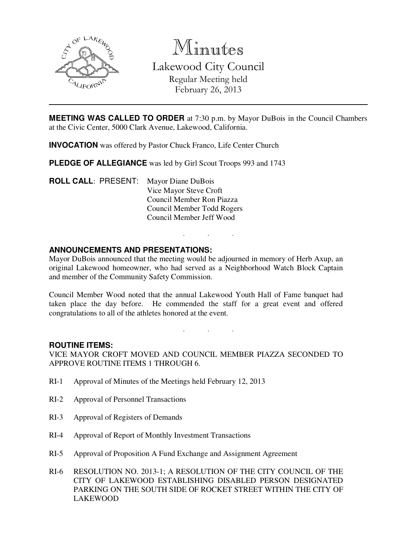

Minutes

Lakewood City Council Regular Meeting held February 26, 2013

**MEETING WAS CALLED TO ORDER** at 7:30 p.m. by Mayor DuBois in the Council Chambers at the Civic Center, 5000 Clark Avenue, Lakewood, California.

**INVOCATION** was offered by Pastor Chuck Franco, Life Center Church

**PLEDGE OF ALLEGIANCE** was led by Girl Scout Troops 993 and 1743

**ROLL CALL**: PRESENT: Mayor Diane DuBois Vice Mayor Steve Croft Council Member Ron Piazza Council Member Todd Rogers Council Member Jeff Wood

# **ANNOUNCEMENTS AND PRESENTATIONS:**

Mayor DuBois announced that the meeting would be adjourned in memory of Herb Axup, an original Lakewood homeowner, who had served as a Neighborhood Watch Block Captain and member of the Community Safety Commission.

. . .

Council Member Wood noted that the annual Lakewood Youth Hall of Fame banquet had taken place the day before. He commended the staff for a great event and offered congratulations to all of the athletes honored at the event.

. . .

#### **ROUTINE ITEMS:**

VICE MAYOR CROFT MOVED AND COUNCIL MEMBER PIAZZA SECONDED TO APPROVE ROUTINE ITEMS 1 THROUGH 6.

- RI-1 Approval of Minutes of the Meetings held February 12, 2013
- RI-2 Approval of Personnel Transactions
- RI-3 Approval of Registers of Demands
- RI-4 Approval of Report of Monthly Investment Transactions
- RI-5 Approval of Proposition A Fund Exchange and Assignment Agreement
- RI-6 RESOLUTION NO. 2013-1; A RESOLUTION OF THE CITY COUNCIL OF THE CITY OF LAKEWOOD ESTABLISHING DISABLED PERSON DESIGNATED PARKING ON THE SOUTH SIDE OF ROCKET STREET WITHIN THE CITY OF LAKEWOOD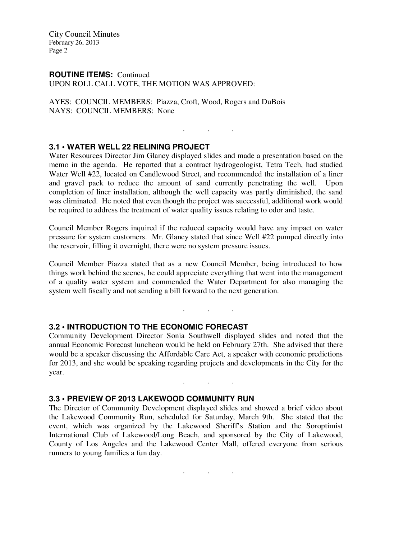City Council Minutes February 26, 2013 Page 2

#### **ROUTINE ITEMS:** Continued

UPON ROLL CALL VOTE, THE MOTION WAS APPROVED:

AYES: COUNCIL MEMBERS: Piazza, Croft, Wood, Rogers and DuBois NAYS: COUNCIL MEMBERS: None

### **3.1 • WATER WELL 22 RELINING PROJECT**

Water Resources Director Jim Glancy displayed slides and made a presentation based on the memo in the agenda. He reported that a contract hydrogeologist, Tetra Tech, had studied Water Well #22, located on Candlewood Street, and recommended the installation of a liner and gravel pack to reduce the amount of sand currently penetrating the well. Upon completion of liner installation, although the well capacity was partly diminished, the sand was eliminated. He noted that even though the project was successful, additional work would be required to address the treatment of water quality issues relating to odor and taste.

. . .

Council Member Rogers inquired if the reduced capacity would have any impact on water pressure for system customers. Mr. Glancy stated that since Well #22 pumped directly into the reservoir, filling it overnight, there were no system pressure issues.

Council Member Piazza stated that as a new Council Member, being introduced to how things work behind the scenes, he could appreciate everything that went into the management of a quality water system and commended the Water Department for also managing the system well fiscally and not sending a bill forward to the next generation.

. . .

# **3.2 • INTRODUCTION TO THE ECONOMIC FORECAST**

Community Development Director Sonia Southwell displayed slides and noted that the annual Economic Forecast luncheon would be held on February 27th. She advised that there would be a speaker discussing the Affordable Care Act, a speaker with economic predictions for 2013, and she would be speaking regarding projects and developments in the City for the year.

. . .

# **3.3 • PREVIEW OF 2013 LAKEWOOD COMMUNITY RUN**

The Director of Community Development displayed slides and showed a brief video about the Lakewood Community Run, scheduled for Saturday, March 9th. She stated that the event, which was organized by the Lakewood Sheriff's Station and the Soroptimist International Club of Lakewood/Long Beach, and sponsored by the City of Lakewood, County of Los Angeles and the Lakewood Center Mall, offered everyone from serious runners to young families a fun day.

. . .